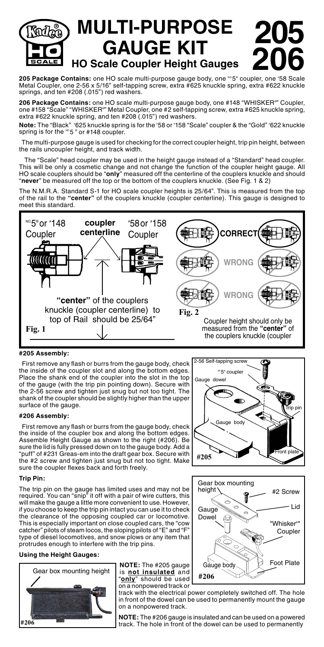# **MULTI-PURPOSE GAUGE KIT HO Scale Coupler Height Gauges 205 206**

**205 Package Contains:** one HO scale multi-purpose gauge body, one <sup>xe</sup>5° coupler, one '58 Scale<br>Metal Coupler, one 2-56 x 5/16" self-tapping screw, extra #625 knuckle spring, extra #622 knuckle springs, and ten #208 (.015") red washers.

**206 Package Contains:** one HO scale multi-purpose gauge body, one #148 "WHISKER® " Coupler, one #158 "Scale" "WHISKER®" Metal Coupler, one #2 self-tapping screw, extra #625 knuckle spring, extra #622 knuckle spring, and ten #208 (.015") red washers.

**Note:** The "Black" *'*625 knuckle spring is for the '58 or '158 "Scale" coupler & the "Gold" '622 knuckle<br>spring is for the <sup></sup>5 ° or #148 coupler.

The multi-purpose gauge is used for checking for the correct coupler height, trip pin height, between the rails uncoupler height, and track width.

 The "Scale" head coupler may be used in the height gauge instead of a "Standard" head coupler. This will be only a cosmetic change and not change the function of the coupler height gauge. All HO scale couplers should be "**only**" measured off the centerline of the couplers knuckle and should "**never**" be measured off the top or the bottom of the couplers knuckle. (See Fig. 1 & 2)

The N.M.R.A. Standard S-1 for HO scale coupler heights is 25/64". This is measured from the top of the rail to the **"center"** of the couplers knuckle (coupler centerline). This gauge is designed to meet this standard.



# **#205 Assembly:**

 First remove any flash or burrs from the gauge body, check the inside of the coupler slot and along the bottom edges. Place the shank end of the coupler into the slot in the top of the gauge (with the trip pin pointing down). Secure with the 2-56 screw and tighten just snug but not too tight. The shank of the coupler should be slightly higher than the upper surface of the gauge.

## **#206 Assembly:**

 First remove any flash or burrs from the gauge body, check the inside of the coupler box and along the bottom edges. Assemble Height Gauge as shown to the right (#206). Be sure the lid is fully pressed down on to the gauge body. Add a "puff" of #231 Greas-em into the draft gear box. Secure with the #2 screw and tighten just snug but not too tight. Make sure the coupler flexes back and forth freely.

### **Trip Pin:**

The trip pin on the gauge has limited uses and may not be required. You can "snip" it off with a pair of wire cutters, this will make the gauge a little more convenient to use. However, if you choose to keep the trip pin intact you can use it to check the clearance of the opposing coupled car or locomotive. This is especially important on close coupled cars, the "cow catcher" pilots of steam locos, the sloping pilots of "E" and "F type of diesel locomotives, and snow plows or any item that protrudes enough to interfere with the trip pins.

## **Using the Height Gauges:**



**NOTE:** The #205 gauge "**only**" should be used on a nonpowered track or

track with the electrical power completely switched off. The hole in front of the dowel can be used to permanently mount the gauge on a nonpowered track.

**NOTE:** The #206 gauge is insulated and can be used on a powered track. The hole in front of the dowel can be used to permanently